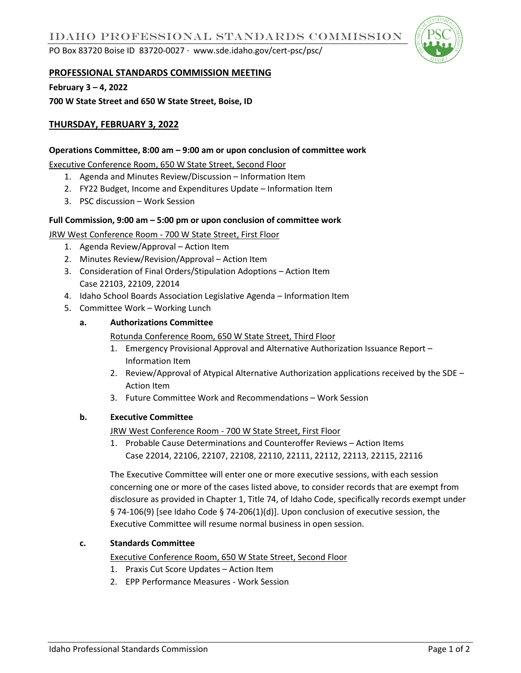PO Box 83720 Boise ID 83720-0027 ∙ www.sde.idaho.gov/cert-psc/psc/



## **PROFESSIONAL STANDARDS COMMISSION MEETING**

**February 3 – 4, 2022**

**700 W State Street and 650 W State Street, Boise, ID** 

# **THURSDAY, FEBRUARY 3, 2022**

### **Operations Committee, 8:00 am – 9:00 am or upon conclusion of committee work**

Executive Conference Room, 650 W State Street, Second Floor

- 1. Agenda and Minutes Review/Discussion Information Item
- 2. FY22 Budget, Income and Expenditures Update Information Item
- 3. PSC discussion Work Session

#### **Full Commission, 9:00 am – 5:00 pm or upon conclusion of committee work**

JRW West Conference Room - 700 W State Street, First Floor

- 1. Agenda Review/Approval Action Item
- 2. Minutes Review/Revision/Approval Action Item
- 3. Consideration of Final Orders/Stipulation Adoptions Action Item Case 22103, 22109, 22014
- 4. Idaho School Boards Association Legislative Agenda Information Item
- 5. Committee Work Working Lunch

#### **a. Authorizations Committee**

Rotunda Conference Room, 650 W State Street, Third Floor

- 1. Emergency Provisional Approval and Alternative Authorization Issuance Report Information Item
- 2. Review/Approval of Atypical Alternative Authorization applications received by the SDE Action Item
- 3. Future Committee Work and Recommendations Work Session

## **b. Executive Committee**

JRW West Conference Room - 700 W State Street, First Floor

1. Probable Cause Determinations and Counteroffer Reviews – Action Items Case 22014, 22106, 22107, 22108, 22110, 22111, 22112, 22113, 22115, 22116

The Executive Committee will enter one or more executive sessions, with each session concerning one or more of the cases listed above, to consider records that are exempt from disclosure as provided in Chapter 1, Title 74, of Idaho Code, specifically records exempt under § 74-106(9) [see Idaho Code § 74-206(1)(d)]. Upon conclusion of executive session, the Executive Committee will resume normal business in open session.

## **c. Standards Committee**

Executive Conference Room, 650 W State Street, Second Floor

- 1. Praxis Cut Score Updates Action Item
- 2. EPP Performance Measures Work Session